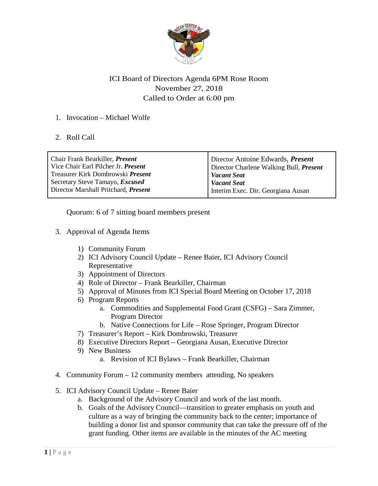

## ICI Board of Directors Agenda 6PM Rose Room November 27, 2018 Called to Order at 6:00 pm

## 1. Invocation – Michael Wolfe

## 2. Roll Call

| Chair Frank Bearkiller, <i>Present</i>      | Director Antoine Edwards, <i>Present</i> |
|---------------------------------------------|------------------------------------------|
| Vice Chair Earl Pilcher Jr. Present         | Director Charlene Walking Bull, Present  |
| Treasurer Kirk Dombrowski <i>Present</i>    | <b>Vacant Seat</b>                       |
| Secretary Steve Tamayo, <i>Excused</i>      | <b>Vacant Seat</b>                       |
| Director Marshall Pritchard, <i>Present</i> | Interim Exec. Dir. Georgiana Ausan       |

Quorum: 6 of 7 sitting board members present

- 3. Approval of Agenda Items
	- 1) Community Forum
	- 2) ICI Advisory Council Update Renee Baier, ICI Advisory Council Representative
	- 3) Appointment of Directors
	- 4) Role of Director Frank Bearkiller, Chairman
	- 5) Approval of Minutes from ICI Special Board Meeting on October 17, 2018
	- 6) Program Reports
		- a. Commodities and Supplemental Food Grant (CSFG) Sara Zimmer, Program Director
		- b. Native Connections for Life Rose Springer, Program Director
	- 7) Treasurer's Report Kirk Dombrowski, Treasurer
	- 8) Executive Directors Report Georgiana Ausan, Executive Director
	- 9) New Business
		- a. Revision of ICI Bylaws Frank Bearkiller, Chairman
- 4. Community Forum 12 community members attending. No speakers
- 5. ICI Advisory Council Update Renee Baier
	- a. Background of the Advisory Council and work of the last month.
	- b. Goals of the Advisory Council—transition to greater emphasis on youth and culture as a way of bringing the community back to the center; importance of building a donor list and sponsor community that can take the pressure off of the grant funding. Other items are available in the minutes of the AC meeting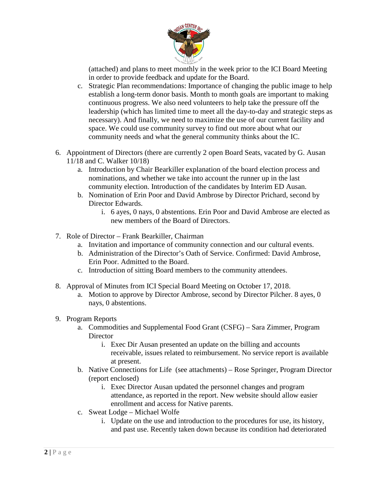

(attached) and plans to meet monthly in the week prior to the ICI Board Meeting in order to provide feedback and update for the Board.

- c. Strategic Plan recommendations: Importance of changing the public image to help establish a long-term donor basis. Month to month goals are important to making continuous progress. We also need volunteers to help take the pressure off the leadership (which has limited time to meet all the day-to-day and strategic steps as necessary). And finally, we need to maximize the use of our current facility and space. We could use community survey to find out more about what our community needs and what the general community thinks about the IC.
- 6. Appointment of Directors (there are currently 2 open Board Seats, vacated by G. Ausan 11/18 and C. Walker 10/18)
	- a. Introduction by Chair Bearkiller explanation of the board election process and nominations, and whether we take into account the runner up in the last community election. Introduction of the candidates by Interim ED Ausan.
	- b. Nomination of Erin Poor and David Ambrose by Director Prichard, second by Director Edwards.
		- i. 6 ayes, 0 nays, 0 abstentions. Erin Poor and David Ambrose are elected as new members of the Board of Directors.
- 7. Role of Director Frank Bearkiller, Chairman
	- a. Invitation and importance of community connection and our cultural events.
	- b. Administration of the Director's Oath of Service. Confirmed: David Ambrose, Erin Poor. Admitted to the Board.
	- c. Introduction of sitting Board members to the community attendees.
- 8. Approval of Minutes from ICI Special Board Meeting on October 17, 2018.
	- a. Motion to approve by Director Ambrose, second by Director Pilcher. 8 ayes, 0 nays, 0 abstentions.
- 9. Program Reports
	- a. Commodities and Supplemental Food Grant (CSFG) Sara Zimmer, Program **Director** 
		- i. Exec Dir Ausan presented an update on the billing and accounts receivable, issues related to reimbursement. No service report is available at present.
	- b. Native Connections for Life (see attachments) Rose Springer, Program Director (report enclosed)
		- i. Exec Director Ausan updated the personnel changes and program attendance, as reported in the report. New website should allow easier enrollment and access for Native parents.
	- c. Sweat Lodge Michael Wolfe
		- i. Update on the use and introduction to the procedures for use, its history, and past use. Recently taken down because its condition had deteriorated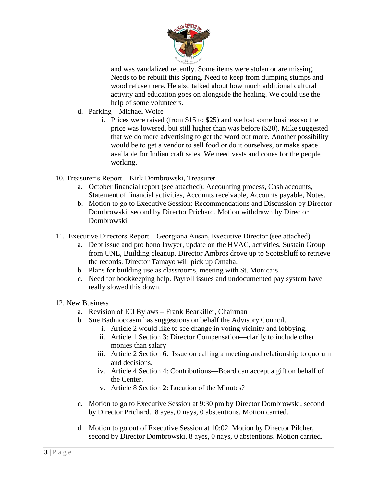

and was vandalized recently. Some items were stolen or are missing. Needs to be rebuilt this Spring. Need to keep from dumping stumps and wood refuse there. He also talked about how much additional cultural activity and education goes on alongside the healing. We could use the help of some volunteers.

- d. Parking Michael Wolfe
	- i. Prices were raised (from \$15 to \$25) and we lost some business so the price was lowered, but still higher than was before (\$20). Mike suggested that we do more advertising to get the word out more. Another possibility would be to get a vendor to sell food or do it ourselves, or make space available for Indian craft sales. We need vests and cones for the people working.
- 10. Treasurer's Report Kirk Dombrowski, Treasurer
	- a. October financial report (see attached): Accounting process, Cash accounts, Statement of financial activities, Accounts receivable, Accounts payable, Notes.
	- b. Motion to go to Executive Session: Recommendations and Discussion by Director Dombrowski, second by Director Prichard. Motion withdrawn by Director Dombrowski
- 11. Executive Directors Report Georgiana Ausan, Executive Director (see attached)
	- a. Debt issue and pro bono lawyer, update on the HVAC, activities, Sustain Group from UNL, Building cleanup. Director Ambros drove up to Scottsbluff to retrieve the records. Director Tamayo will pick up Omaha.
	- b. Plans for building use as classrooms, meeting with St. Monica's.
	- c. Need for bookkeeping help. Payroll issues and undocumented pay system have really slowed this down.
- 12. New Business
	- a. Revision of ICI Bylaws Frank Bearkiller, Chairman
	- b. Sue Badmoccasin has suggestions on behalf the Advisory Council.
		- i. Article 2 would like to see change in voting vicinity and lobbying.
		- ii. Article 1 Section 3: Director Compensation—clarify to include other monies than salary
		- iii. Article 2 Section 6: Issue on calling a meeting and relationship to quorum and decisions.
		- iv. Article 4 Section 4: Contributions—Board can accept a gift on behalf of the Center.
		- v. Article 8 Section 2: Location of the Minutes?
	- c. Motion to go to Executive Session at 9:30 pm by Director Dombrowski, second by Director Prichard. 8 ayes, 0 nays, 0 abstentions. Motion carried.
	- d. Motion to go out of Executive Session at 10:02. Motion by Director Pilcher, second by Director Dombrowski. 8 ayes, 0 nays, 0 abstentions. Motion carried.